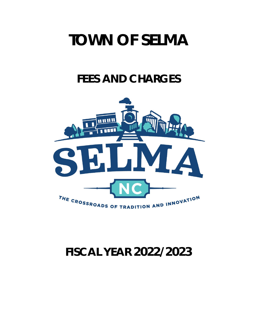# **TOWN OF SELMA**

## **FEES AND CHARGES**



## **FISCAL YEAR 2022/2023**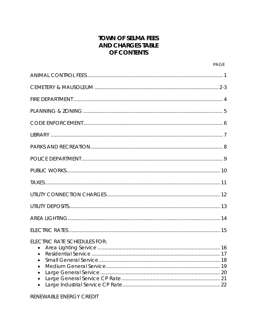## **TOWN OF SELMA FEES AND CHARGES TABLE** OF CONTENTS

| <b>ELECTRIC RATE SCHEDULES FOR:</b><br>$\bullet$<br>$\bullet$<br>$\bullet$<br>$\bullet$<br>$\bullet$<br>$\bullet$ |
|-------------------------------------------------------------------------------------------------------------------|

## RENEWABLE ENERGY CREDIT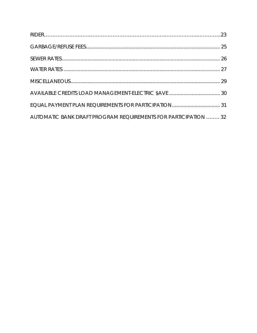| AUTOMATIC BANK DRAFT PROGRAM REQUIREMENTS FOR PARTICIPATION  32 |  |
|-----------------------------------------------------------------|--|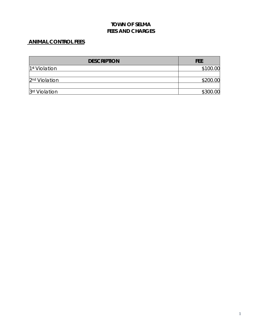## **ANIMAL CONTROL FEES**

| <b>DESCRIPTION</b>        | <b>FEE</b> |
|---------------------------|------------|
| 1 <sup>st</sup> Violation | \$100.00   |
| 2 <sup>nd</sup> Violation | \$200.00   |
| 3rd Violation             | \$300.00   |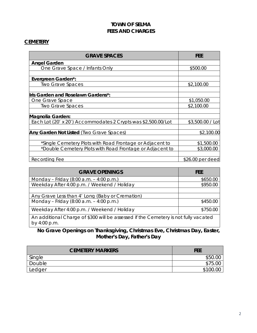#### **CEMETERY**

| <b>GRAVE SPACES</b>                                           | FEE              |
|---------------------------------------------------------------|------------------|
| <b>Angel Garden</b>                                           |                  |
| One Grave Space / Infants Only                                | \$500.00         |
|                                                               |                  |
| Evergreen Garden*:                                            |                  |
| <b>Two Grave Spaces</b>                                       | \$2,100.00       |
| Iris Garden and Roselawn Gardens*:                            |                  |
| One Grave Space                                               | \$1,050.00       |
| <b>Two Grave Spaces</b>                                       | \$2,100.00       |
| Magnolia Garden:                                              |                  |
| Each Lot (20' x 20') Accommodates 2 Crypts was \$2,500.00/Lot | \$3,500.00 / Lot |
| Any Garden Not Listed (Two Grave Spaces)                      | \$2,100.00       |
| *Single Cemetery Plots with Road Frontage or Adjacent to      | \$1,500.00       |
| *Double Cemetery Plots with Road Frontage or Adjacent to      | \$3,000.00       |
| Recording Fee                                                 | \$26.00 per deed |

| <b>GRAVE OPENINGS</b>                                                                               | FEE      |
|-----------------------------------------------------------------------------------------------------|----------|
| Monday – Friday (8:00 a.m. – 4:00 p.m.)                                                             | \$650.00 |
| Weekday After 4:00 p.m. / Weekend / Holiday                                                         | \$950.00 |
| Any Grave Less than 4' Long (Baby or Cremation)                                                     |          |
| Monday – Friday (8:00 a.m. – 4:00 p.m.)                                                             | \$450.00 |
| Weekday After 4:00 p.m. / Weekend / Holiday                                                         | \$750.00 |
| An additional Charge of \$300 will be assessed if the Cemetery is not fully vacated<br>by 4:00 p.m. |          |

## **No Grave Openings on Thanksgiving, Christmas Eve, Christmas Day, Easter, Mother's Day, Father's Day**

| <b>CEMETERY MARKERS</b> | <b>FEE</b> |
|-------------------------|------------|
| Single                  | \$50       |
| Double                  | 75         |
| <b>Ledger</b>           | ` ()() -   |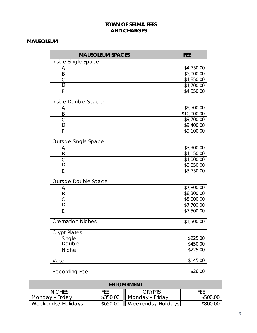## **MAUSOLEUM**

| <b>MAUSOLEUM SPACES</b>      | <b>FEE</b>           |
|------------------------------|----------------------|
| Inside Single Space:         |                      |
| Α                            | \$4,750.00           |
| B                            | \$5,000.00           |
| С                            | \$4,850.00           |
| D                            | \$4,700.00           |
| E                            | \$4,550.00           |
| Inside Double Space:         |                      |
| Α                            | \$9,500.00           |
| B                            | \$10,000.00          |
| $\mathsf{C}$                 | \$9,700.00           |
| $\overline{D}$               | \$9,400.00           |
| E                            | \$9,100.00           |
| <b>Outside Single Space:</b> |                      |
| Α                            | \$3,900.00           |
| Β                            | \$4,150.00           |
| $\overline{C}$               | \$4,000.00           |
| D                            | \$3,850.00           |
| E                            | \$3,750.00           |
| Outside Double Space         |                      |
| <u>А</u>                     | \$7,800.00           |
| B                            | \$8,300.00           |
|                              | \$8,000.00           |
| $rac{C}{D}$                  | \$7,700.00           |
| E                            | \$7,500.00           |
| <b>Cremation Niches</b>      | \$1,500.00           |
|                              |                      |
| <b>Crypt Plates:</b>         |                      |
| Single<br>Double             | \$225.00             |
|                              | \$450.00<br>\$225.00 |
| Niche                        |                      |
| Vase                         | \$145.00             |
| <b>Recording Fee</b>         | \$26.00              |

| <b>ENTOMBMENT</b>   |          |                     |          |
|---------------------|----------|---------------------|----------|
| <b>NICHES</b>       | FFF      | CRYPTS              | FFF      |
| Monday – Friday     | \$350.00 | Monday – Friday     | \$500.00 |
| Weekends / Holidays | \$650.00 | Weekends / Holidays | \$800.00 |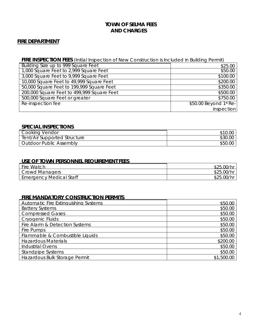#### <span id="page-6-0"></span>**FIRE DEPARTMENT**

## **FIRE INSPECTION FEES** (Initial Inspection of New Construction is Included in Building Permit)

| Building Size up to 999 Square Feet        | \$25.00                |
|--------------------------------------------|------------------------|
| 1,000 Square Feet to 2,999 Square Feet     | \$50.00                |
| 3,000 Square Feet to 9,999 Square Feet     | \$100.00               |
| 10,000 Square Feet to 49,999 Square Feet   | \$200.00               |
| 50,000 Square Feet to 199,999 Square Feet  | \$350.00               |
| 200,000 Square Feet to 499,999 Square Feet | \$500.00               |
| 500,000 Square Feet or greater             | \$750.00               |
| Re-inspection fee                          | \$50.00 Beyond 1st Re- |
|                                            | inspection             |

#### **SPECIAL INSPECTIONS**

| <b>Cooking Vendor</b>          | \$10.00 |
|--------------------------------|---------|
| Tent/Air Supported Structure   | \$30.00 |
| <b>Outdoor Public Assembly</b> | \$50.00 |

## **USE OF TOWN PERSONNEL REQUIREMENT FEES**

| <b>Fire Watch</b>              | \$25.0C    |
|--------------------------------|------------|
| Crowd Managers                 | \$25.00/hr |
| <b>Emergency Medical Staff</b> | \$25.00    |

#### **FIRE MANDATORY CONSTRUCTION PERMITS**

| <b>Automatic Fire Extinguishing Systems</b> | \$50.00    |
|---------------------------------------------|------------|
| <b>Battery Systems</b>                      | \$50.00    |
| <b>Compressed Gases</b>                     | \$50.00    |
| Cryogenic Fluids                            | \$50.00    |
| Fire Alarm & Detection Systems              | \$50.00    |
| Fire Pumps                                  | \$50.00    |
| Flammable & Combustible Liquids             | \$50.00    |
| <b>Hazardous Materials</b>                  | \$200.00   |
| <b>Industrial Ovens</b>                     | \$50.00    |
| <b>Standpipe Systems</b>                    | \$50.00    |
| Hazardous Bulk Storage Permit               | \$1,500.00 |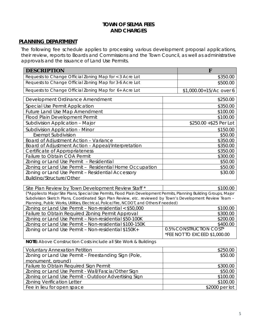#### **PLANNING DEPARTMENT**

The following fee schedule applies to processing various development proposal applications, their review, reports to Boards and Commissions and the Town Council, as well as administrative approvals and the issuance of Land Use Permits.

| <b>DESCRIPTION</b>                                      |          | F                       |  |
|---------------------------------------------------------|----------|-------------------------|--|
| Requests to Change Official Zoning Map for < 3 Acre Lot | \$350.00 |                         |  |
| Requests to Change Official Zoning Map for 3-6 Acre Lot |          | \$500.00                |  |
| Requests to Change Official Zoning Map for 6+ Acre Lot  |          | \$1,000.00+15/Ac over 6 |  |
| Development Ordinance Amendment                         |          | \$250.00                |  |
| Special Use Permit Application                          |          | \$350.00                |  |
| <b>Future Land Use Map Amendment</b>                    |          | \$100.00                |  |
| Flood Plain Development Permit                          |          | \$100.00                |  |
| Subdivision Application - Major                         |          | \$250.00 + \$25 Per Lot |  |
| <b>Subdivision Application - Minor</b>                  |          | \$150.00                |  |
| <b>Exempt Subdivision</b>                               |          | \$50.00                 |  |
| Board of Adjustment Action - Variance                   |          | \$350.00                |  |
| Board of Adjustment Action - Appeal/Interpretation      |          | \$350.00                |  |
| Certificate of Appropriateness                          |          | \$350.00                |  |
| Failure to Obtain COA Permit                            |          | \$300.00                |  |
| Zoning or Land Use Permit - Residential                 |          | \$50.00                 |  |
| Zoning or Land Use Permit - Residential Home Occupation |          | \$50.00                 |  |
| Zoning or Land Use Permit - Residential Accessory       | \$30.00  |                         |  |
| Building/Structure/Other                                |          |                         |  |

Site Plan Review by Town Development Review Staff \*  $\qquad$  | \$100.00

(\*Applies to Major Site Plans, Special Use Permits, Flood Plain Development Permits, Planning Building Groups, Major Subdivision Sketch Plans, Coordinated Sign Plan Review, etc. reviewed by Town's Development Review Team – Planning, Public Works, Utilities, Electrical, Police/Fire, NCDOT, and Others if needed)

| Zoning or Land Use Permit - Non-residential < \$50,000 | \$100.00                                   |
|--------------------------------------------------------|--------------------------------------------|
| Failure to Obtain Required Zoning Permit Approval      | \$300.00                                   |
| Zoning or Land Use Permit - Non-residential \$50-100K  | \$200.00                                   |
| Zoning or Land Use Permit - Non-residential \$100-150K | \$400.00                                   |
| Zoning or Land Use Permit - Non-residential \$150K+    | 0.5% CONSTRUCTION COST*                    |
|                                                        | <sup>I</sup> *FEE NOT TO EXCEED \$1,000.00 |

**NOTE:** Above Construction Costs include all Site Work & Buildings

| <b>Voluntary Annexation Petition</b>                 | \$250.00        |
|------------------------------------------------------|-----------------|
| Zoning or Land Use Permit - Freestanding Sign (Pole, | \$50.00         |
| monument, ground)                                    |                 |
| Failure to Obtain Required Sign Permit               | \$300.00        |
| Zoning or Land Use Permit - Wall/Fascia/Other Sign   | \$50.00         |
| Zoning or Land Use Permit - Outdoor Advertising Sign | \$100.00        |
| <b>Zoning Verification Letter</b>                    | \$100.00        |
| Fee in lieu for open space                           | $$2000$ per lot |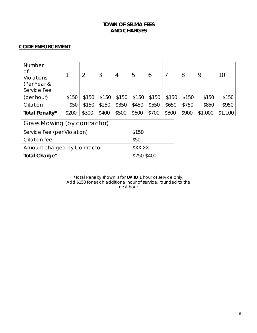## **CODE ENFORCEMENT**

| Number                       |       |       |       |       |       |         |       |       |         |         |
|------------------------------|-------|-------|-------|-------|-------|---------|-------|-------|---------|---------|
| <b>of</b>                    |       |       |       |       |       |         |       |       |         |         |
| <b>Violations</b>            |       |       | 3     | 4     | 5     | $\circ$ |       | 8     | 9       | 10      |
| (Per Year &                  |       |       |       |       |       |         |       |       |         |         |
| Service Fee                  |       |       |       |       |       |         |       |       |         |         |
| (per hour)                   | \$150 | \$150 | \$150 | \$150 | \$150 | \$150   | \$150 | \$150 | \$150   | \$150   |
| Citation                     | \$50  | \$150 | \$250 | \$350 | \$450 | \$550   | \$650 | \$750 | \$850   | \$950   |
| Total Penalty*               | \$200 | \$300 | \$400 | \$500 | \$600 | \$700   | \$800 | \$900 | \$1,000 | \$1,100 |
|                              |       |       |       |       |       |         |       |       |         |         |
| Grass Mowing (by contractor) |       |       |       |       |       |         |       |       |         |         |

| Service Fee (per Violation)  | \$150       |
|------------------------------|-------------|
| l Citation fee               | \$50        |
| Amount charged by Contractor | \$XX.XX     |
| Total Charge*                | \$250-\$400 |

\*Total Penalty shown is for **UP TO** 1 hour of service only. Add \$150 for each additional hour of service, rounded to the next hour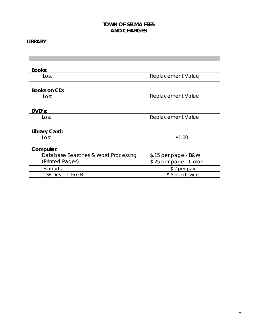## **LIBRARY**

| <b>Books:</b>                       |                          |
|-------------------------------------|--------------------------|
| Lost                                | Replacement Value        |
|                                     |                          |
| <b>Books on CD:</b>                 |                          |
| Lost                                | <b>Replacement Value</b> |
|                                     |                          |
| DVD's:                              |                          |
| Lost                                | <b>Replacement Value</b> |
|                                     |                          |
| Library Card:                       |                          |
| Lost                                | \$1.00                   |
|                                     |                          |
| Computer:                           |                          |
| Database Searches & Word Processing | \$.15 per page - B&W     |
| (Printed Pages)                     | \$.25 per page - Color   |
| Earbuds                             | \$2 per pair             |
| <b>USB Device 16 GB</b>             | \$5 per device           |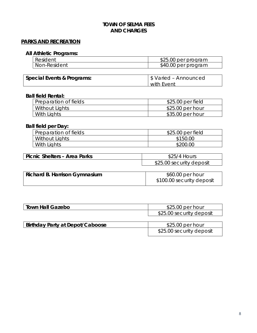## **PARKS AND RECREATION**

## **All Athletic Programs:**

<span id="page-10-0"></span>

| Resident     | \$25.00 per program |
|--------------|---------------------|
| Non-Resident | \$40.00 per program |

| <b>Special Events &amp; Programs:</b> | S Varied - Announced |
|---------------------------------------|----------------------|
|                                       | with Event           |

## **Ball field Rental:**

| Preparation of fields | \$25.00 per field |
|-----------------------|-------------------|
| Without Lights        | \$25.00 per hour  |
| With Lights           | \$35.00 per hour  |

## **Ball field per Day:**

| Preparation of fields | \$25.00 per field |
|-----------------------|-------------------|
| Without Lights        | \$150.00          |
| With Lights           | \$200.00          |

| Picnic Shelters - Area Parks | \$25/4 Hours             |
|------------------------------|--------------------------|
|                              | \$25.00 security deposit |

| <b>Richard B. Harrison Gymnasium</b> | \$60.00 per hour          |
|--------------------------------------|---------------------------|
|                                      | \$100.00 security deposit |

| <b>Town Hall Gazebo</b>                 | $$25.00$ per hour        |  |
|-----------------------------------------|--------------------------|--|
|                                         | \$25.00 security deposit |  |
|                                         |                          |  |
| $\Box$ Dirthdou Dorty of Donat (Caboasa | $0.25$ $0.0$ por bour    |  |

| Birthday Party at Depot/Caboose | \$25.00 per hour         |
|---------------------------------|--------------------------|
|                                 | \$25.00 security deposit |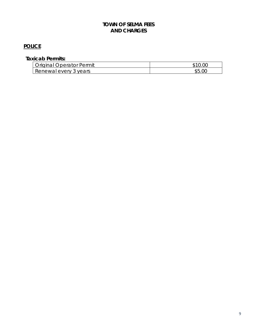## **POLICE**

## **Taxicab Permits:**

| Original (<br><b>Dperator Permit</b> |    |
|--------------------------------------|----|
| Renewal every<br>years               | ፍፍ |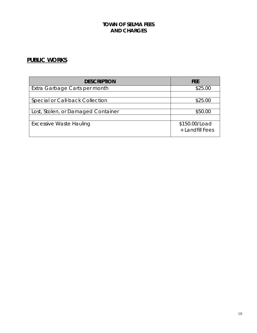## **PUBLIC WORKS**

| <b>DESCRIPTION</b>                 | <b>FFF</b>                       |
|------------------------------------|----------------------------------|
| Extra Garbage Carts per month      | \$25.00                          |
|                                    |                                  |
| Special or Call-back Collection    | \$25.00                          |
|                                    |                                  |
| Lost, Stolen, or Damaged Container | \$50.00                          |
|                                    |                                  |
| <b>Excessive Waste Hauling</b>     | \$150.00/Load<br>+ Landfill Fees |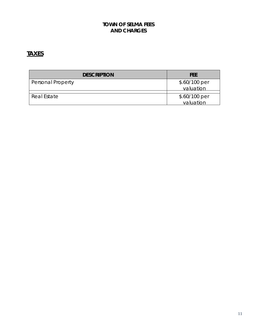## **TAXES**

| <b>DESCRIPTION</b>       | <b>FEE</b>                  |
|--------------------------|-----------------------------|
| <b>Personal Property</b> | $$.60/100$ per<br>valuation |
| Real Estate              | $$.60/100$ per<br>valuation |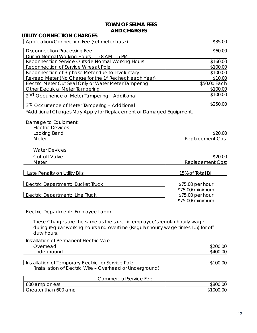#### <span id="page-14-0"></span>**UTILITY CONNECTION CHARGES**

| Application/Connection Fee (set meter base)                | \$35.00      |
|------------------------------------------------------------|--------------|
|                                                            |              |
| <b>Disconnection Processing Fee</b>                        | \$60.00      |
| During Normal Working Hours (8 AM – 5 PM)                  |              |
| Reconnection Service Outside Normal Working Hours          | \$160.00     |
| Reconnection of Service Wires at Pole                      | \$100.00     |
| Reconnection of 3-phase Meter due to Involuntary           | \$100.00     |
| Re-read Meter (No Charge for the 1st Recheck each Year)    | \$10.00      |
| Electric Meter Cut Seal Only or Water Meter Tampering      | \$50.00 Each |
| <b>Other Electrical Meter Tampering</b>                    | \$100.00     |
| 2 <sup>nd</sup> Occurrence of Meter Tampering - Additional | \$100.00     |
| 3rd Occurrence of Meter Tampering - Additional             | \$250.00     |

\*Additional Charges May Apply for Replacement of Damaged Equipment.

#### Damage to Equipment: .<br>Electric D

| EIECTRIC DEVICES              |                                                                           |
|-------------------------------|---------------------------------------------------------------------------|
| $\sqrt{2}$<br>LOCKING<br>Banu | $\sim$ $\sim$<br>PLU.                                                     |
| Meter                         | $\sim$<br>:ment<br>OSt<br>าเลเ<br>ker<br>$\overline{\phantom{a}}$<br>' שו |

Water Devices

| $\sim$<br>$\sim$<br>ut-c<br>$\cap$ ti<br> | $\sim$ $\sim$<br>ĸ                    |
|-------------------------------------------|---------------------------------------|
| Met                                       | ost<br>$\sim$ $\sim$ $\sim$<br>∸<br>᠂ |

| Late Penalty on Utility Bills     | 15% of Total Bill |
|-----------------------------------|-------------------|
|                                   |                   |
| Electric Department: Bucket Truck | \$75.00 per hour  |
|                                   | \$75.00/minimum   |
| Electric Department: Line Truck   | \$75.00 per hour  |
|                                   | $$75.00/m$ inimum |

Electric Department: Employee Labor

These Charges are the same as the specific employee's regular hourly wage during regular working hours and overtime (Regular hourly wage times 1.5) for off duty hours.

Installation of Permanent Electric Wire

| ∽<br>$\sim$ $\sim$<br>Jverh<br>$\overline{\phantom{a}}$<br>$\check{ }$ | $\sim$ $\sim$ |
|------------------------------------------------------------------------|---------------|
| $\sim$<br>$\sim$<br>$\sim$<br>◡<br>unu<br>◡<br>∼<br>$\sim$             | ~~<br>        |

Installation of Temporary Electric for Service Pole **100.00** \$100.00 (Installation of Electric Wire – Overhead or Underground)

| Commercial Service Fee |           |
|------------------------|-----------|
| 600 amp or less        | \$800.00  |
| Greater than 600 amp   | \$1000.00 |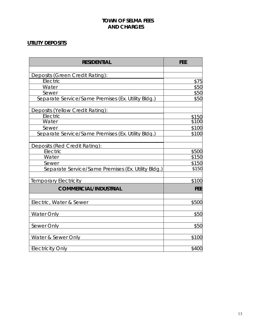## <span id="page-15-0"></span>**UTILITY DEPOSITS**

| <b>RESIDENTIAL</b>                                 | <b>FEE</b> |
|----------------------------------------------------|------------|
|                                                    |            |
| Deposits (Green Credit Rating):                    |            |
| Electric                                           | \$75       |
| Water                                              | \$50       |
| Sewer                                              | \$50       |
| Separate Service/Same Premises (Ex. Utility Bldg.) | \$50       |
| Deposits (Yellow Credit Rating):                   |            |
| Electric                                           | \$150      |
| Water                                              | \$100      |
| Sewer                                              | \$100      |
| Separate Service/Same Premises (Ex. Utility Bldg.) | \$100      |
| Deposits (Red Credit Rating):                      |            |
| Electric                                           | \$500      |
| Water                                              | \$150      |
| Sewer                                              | \$150      |
| Separate Service/Same Premises (Ex. Utility Bldg.) | \$150      |
| <b>Temporary Electricity</b>                       | \$100      |
| <b>COMMERCIAL/INDUSTRIAL</b>                       | <b>FEE</b> |
| Electric, Water & Sewer                            | \$500      |
|                                                    |            |
| <b>Water Only</b>                                  | \$50       |
| Sewer Only                                         | \$50       |
| Water & Sewer Only                                 | \$100      |
| <b>Electricity Only</b>                            | \$400      |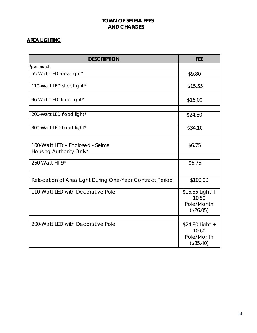## <span id="page-16-0"></span>**AREA LIGHTING**

| per month<br>55-Watt LED area light*<br>\$9.80<br>110-Watt LED streetlight*<br>\$15.55<br>96-Watt LED flood light*<br>\$16.00<br>200-Watt LED flood light*<br>\$24.80<br>300-Watt LED flood light*<br>\$34.10<br>100-Watt LED - Enclosed - Selma<br>\$6.75<br>Housing Authority Only*<br>250 Watt HPS*<br>\$6.75<br>Relocation of Area Light During One-Year Contract Period<br>\$100.00<br>110-Watt LED with Decorative Pole<br>\$15.55 Light +<br>10.50<br>Pole/Month<br>(\$26.05)<br>200-Watt LED with Decorative Pole<br>\$24.80 Light +<br>10.60<br>Pole/Month | <b>DESCRIPTION</b> | <b>FEE</b> |
|---------------------------------------------------------------------------------------------------------------------------------------------------------------------------------------------------------------------------------------------------------------------------------------------------------------------------------------------------------------------------------------------------------------------------------------------------------------------------------------------------------------------------------------------------------------------|--------------------|------------|
|                                                                                                                                                                                                                                                                                                                                                                                                                                                                                                                                                                     |                    |            |
|                                                                                                                                                                                                                                                                                                                                                                                                                                                                                                                                                                     |                    |            |
|                                                                                                                                                                                                                                                                                                                                                                                                                                                                                                                                                                     |                    |            |
|                                                                                                                                                                                                                                                                                                                                                                                                                                                                                                                                                                     |                    |            |
|                                                                                                                                                                                                                                                                                                                                                                                                                                                                                                                                                                     |                    |            |
|                                                                                                                                                                                                                                                                                                                                                                                                                                                                                                                                                                     |                    |            |
|                                                                                                                                                                                                                                                                                                                                                                                                                                                                                                                                                                     |                    |            |
|                                                                                                                                                                                                                                                                                                                                                                                                                                                                                                                                                                     |                    |            |
|                                                                                                                                                                                                                                                                                                                                                                                                                                                                                                                                                                     |                    |            |
|                                                                                                                                                                                                                                                                                                                                                                                                                                                                                                                                                                     |                    |            |
|                                                                                                                                                                                                                                                                                                                                                                                                                                                                                                                                                                     |                    |            |
|                                                                                                                                                                                                                                                                                                                                                                                                                                                                                                                                                                     |                    |            |
|                                                                                                                                                                                                                                                                                                                                                                                                                                                                                                                                                                     |                    |            |
|                                                                                                                                                                                                                                                                                                                                                                                                                                                                                                                                                                     |                    |            |
|                                                                                                                                                                                                                                                                                                                                                                                                                                                                                                                                                                     |                    |            |
|                                                                                                                                                                                                                                                                                                                                                                                                                                                                                                                                                                     |                    |            |
|                                                                                                                                                                                                                                                                                                                                                                                                                                                                                                                                                                     |                    |            |
|                                                                                                                                                                                                                                                                                                                                                                                                                                                                                                                                                                     |                    |            |
|                                                                                                                                                                                                                                                                                                                                                                                                                                                                                                                                                                     |                    |            |
|                                                                                                                                                                                                                                                                                                                                                                                                                                                                                                                                                                     |                    |            |
|                                                                                                                                                                                                                                                                                                                                                                                                                                                                                                                                                                     |                    |            |
|                                                                                                                                                                                                                                                                                                                                                                                                                                                                                                                                                                     |                    |            |
|                                                                                                                                                                                                                                                                                                                                                                                                                                                                                                                                                                     |                    |            |
|                                                                                                                                                                                                                                                                                                                                                                                                                                                                                                                                                                     |                    |            |
| (\$35.40)                                                                                                                                                                                                                                                                                                                                                                                                                                                                                                                                                           |                    |            |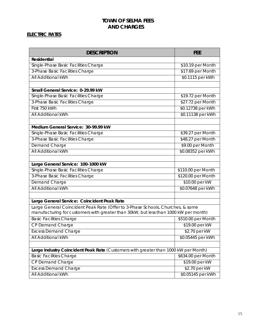#### <span id="page-17-0"></span>**ELECTRIC RATES**

| <b>DESCRIPTION</b>                                                                   | <b>FEE</b>         |
|--------------------------------------------------------------------------------------|--------------------|
| <b>Residential</b>                                                                   |                    |
| Single-Phase Basic Facilities Charge                                                 | \$10.19 per Month  |
| 3-Phase Basic Facilities Charge                                                      | \$17.69 per Month  |
| <b>All Additional kWh</b>                                                            | \$0.1115 per kWh   |
|                                                                                      |                    |
| Small General Service: 0-29.99 kW                                                    |                    |
| Single-Phase Basic Facilities Charge                                                 | \$19.72 per Month  |
| 3-Phase Basic Facilities Charge                                                      | \$27.72 per Month  |
| First 750 kWh                                                                        | \$0.12738 per kWh  |
| All Additional kWh                                                                   | \$0.11138 per kWh  |
|                                                                                      |                    |
| Medium General Service: 30-99.99 kW                                                  |                    |
| Single-Phase Basic Facilities Charge                                                 | \$39.27 per Month  |
| 3-Phase Basic Facilities Charge                                                      | \$48.27 per Month  |
| Demand Charge                                                                        | \$9.00 per Month   |
| <b>All Additional kWh</b>                                                            | \$0.08352 per kWh  |
|                                                                                      |                    |
| Large General Service: 100-1000 kW                                                   |                    |
| Single-Phase Basic Facilities Charge                                                 | \$110.00 per Month |
| 3-Phase Basic Facilities Charge                                                      | \$120.00 per Month |
| Demand Charge                                                                        | \$10.00 per kW     |
| All Additional kWh                                                                   | \$0.07648 per kWh  |
|                                                                                      |                    |
| Large General Service: Coincident Peak Rate                                          |                    |
| Large General Coincident Peak Rate (Offer to 3-Phase Schools, Churches, & some       |                    |
| manufacturing for customers with greater than 30kW, but less than 1000 kW per month) |                    |
| <b>Basic Facilities Charge</b>                                                       | \$510.00 per Month |
| <b>CP Demand Charge</b>                                                              | \$19.00 per kW     |
| <b>Excess Demand Charge</b>                                                          | \$2.70 per kW      |
| All Additional kWh                                                                   | \$0.05445 per kWh  |
|                                                                                      |                    |
| Large Industry Coincident Peak Rate (Customers with greater than 1000 kW per Month)  |                    |
| <b>Basic Facilities Charge</b>                                                       | \$634.00 per Month |
| CP Demand Charge                                                                     | \$19.00 per kW     |
| <b>Excess Demand Charge</b>                                                          | \$2.70 per kW      |
| All Additional kWh                                                                   | \$0.05145 per kWh  |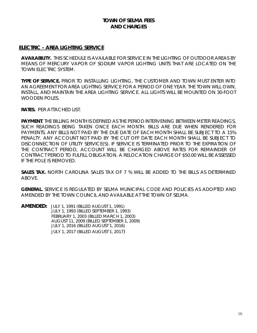#### **ELECTRIC - AREA LIGHTING SERVICE**

**AVAILABILITY.** THIS SCHEDULE IS AVAILABLE FOR SERVICE IN THE LIGHTING OF OUTDOOR AREAS BY MEANS OF MERCURY VAPOR OF SODIUM VAPOR LIGHTING UNITS THAT ARE LOCATED ON THE TOWN ELECTRIC SYSTEM.

**TYPE OF SERVICE.** PRIOR TO INSTALLING LIGHTING, THE CUSTOMER AND TOWN MUST ENTER INTO AN AGREEMENT FOR AREA LIGHTING SERVICE FOR A PERIOD OF ONE YEAR. THE TOWN WILL OWN, INSTALL, AND MAINTAIN THE AREA LIGHTING SERVICE. ALL LIGHTS WILL BE MOUNTED ON 30-FOOT WOODEN POLES.

**RATES.** PER ATTACHED LIST.

**PAYMENT**. THE BILLING MONTH IS DEFINED AS THE PERIOD INTERVENING BETWEEN METER READINGS, SUCH READINGS BEING TAKEN ONCE EACH MONTH. BILLS ARE DUE WHEN RENDERED FOR PAYMENTS. ANY BILLS NOT PAID BY THE DUE DATE OF EACH MONTH SHALL BE SUBJECT TO A 15% PENALTY. ANY ACCOUNT NOT PAID BY THE CUT OFF DATE EACH MONTH SHALL BE SUBJECT TO DISCONNECTION OF UTILITY SERVICE(S). IF SERVICE IS TERMINATED PRIOR TO THE EXPIRATION OF THE CONTRACT PERIOD, ACCOUNT WILL BE CHARGED ABOVE RATES FOR REMAINDER OF CONTRACT PERIOD TO FULFILL OBLIGATION. A RELOCATION CHARGE OF \$50.00 WILL BE ASSESSED IF THE POLE IS REMOVED.

**SALES TAX.** NORTH CAROLINA SALES TAX OF 7 % WILL BE ADDED TO THE BILLS AS DETERMINED ABOVE.

**GENERAL.** SERVICE IS REGULATED BY SELMA MUNICIPAL CODE AND POLICIES AS ADOPTED AND AMENDED BY THE TOWN COUNCIL AND AVAILABLE AT THE TOWN OF SELMA.

**AMENDED:** JULY 1, 1991 (BILLED AUGUST 1, 1991) JULY 1, 1993 (BILLED SEPTEMBER 1, 1993) FEBRUARY 1, 2003 (BILLED MARCH 1, 2003) AUGUST 11, 2009 (BILLED SEPTEMBER 1, 2009) JULY 1, 2016 (BILLED AUGUST 1, 2016) JULY 1, 2017 (BILLED AUGUST 1, 2017)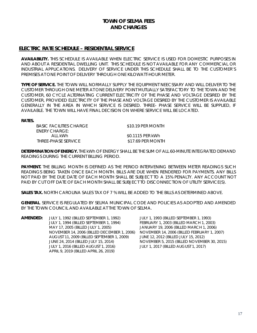#### **ELECTRIC RATE SCHEDULE – RESIDENTIAL SERVICE**

**AVAILABILITY.** THIS SCHEDULE IS AVAILABLE WHEN ELECTRIC SERVICE IS USED FOR DOMESTIC PURPOSES IN AND ABOUT A RESIDENTIAL DWELLING UNIT. THIS SCHEDULE IS NOT AVAILABLE FOR ANY COMMERCIAL OR INDUSTRIAL APPLICATIONS. DELIVERY OF SERVICE UNDER THIS SCHEDULE SHALL BE TO THE CUSTOMER'S PREMISES AT ONE POINT OF DELIVERY THROUGH ONE KILOWATT-HOUR METER.

**TYPE OF SERVICE.** THE TOWN WILL NORMALLY SUPPLY THE EQUIPMENT NEECSSARY AND WILL DELIVER TO THE CUSTOMER THROUGH ONE METER AT ONE DELIVERY POINT MUTUALLY SATISFACTORY TO THE TOWN AND THE CUSTOMER, 60 CYCLE ALTERNATING CURRENT ELECTRICITY OF THE PHASE AND VOLTAGE DESIRED BY THE CUSTOMER, PROVIDED ELECTRICITY OF THE PHASE AND VOLTAGE DESIRED BY THE CUSTOMER IS AVAILABLE GENERALLY IN THE AREA IN WHICH SERVICE IS DESIRED. THREE- PHASE SERVICE WILL BE SUPPLIED, IF AVAILABLE. THE TOWN WILL HAVE FINAL DECISION ON WHERE SERVICE WILL BE LOCATED.

#### **RATES.**

BASIC FACILITIES CHARGE \$10.19 PER MONTH ENERY CHARGE: ALL kWh  $$0.1115$  PER kWh THREE-PHASE SERVICE \$17.69 PER MONTH

**DETERMINATION OF ENERGY.** THE kWh OF ENERGY SHALL BE THE SUM OF ALL 60-MINUTE INTEGRATED DEMAND READINGS DURING THE CURRENT BILLING PERIOD.

**PAYMENT.** THE BILLING MONTH IS DEFINED AS THE PERIOD INTERVENING BETWEEN METER READINGS SUCH READINGS BEING TAKEN ONCE EACH MONTH. BILLS ARE DUE WHEN RENDERED FOR PAYMENTS. ANY BILLS NOT PAID BY THE DUE DATE OF EACH MONTH SHALL BE SUBJECT TO A 15% PENALTY. ANY ACCOUNT NOT PAID BY CUT OFF DATE OF EACH MONTH SHALL BE SUBJECT TO DISCONNECTION OF UTILITY SERVICE(S).

**SALES TAX.** NORTH CAROLINA SALES TAX OF 7 % WILL BE ADDED TO THE BILLS AS DETERMINED ABOVE.

**GENERAL**. SERVICE IS REGULATED BY SELMA MUNICIPAL CODE AND POLICIES AS ADOPTED AND AMENDED BY THE TOWN COUNCIL AND AVAILABLE AT THE TOWN OF SELMA.

**AMENDED:** JULY 1, 1992 (BILLED SEPTEMBER 1, 1992) JULY 1, 1993 (BILLED SEPTEMBER 1, 1993) JULY 1, 1994 (BILLED SEPTEMBER 1, 1994) FEBRUARY 1, 2003 (BILLED MARCH 1, 2003) MAY 17, 2005 (BILLED JULY 1, 2005) JANUARY 19, 2006 (BILLED MARCH 1, 2006) NOVEMBER 14, 2006 (BILLED DECEMBER 1, 2006) NOVEMBER 14, 2006 (BILLED FEBRUARY 1, 2007) AUGUST 11, 2009 (BILLED SEPTEMBER 1, 2009) JUNE 12, 2012 (BILLED JULY 15, 2012) JUNE 24, 2014 (BILLED JULY 15, 2014) NOVEMBER 5, 2015 (BILLED NOVEMBER 30, 2015) JULY 1, 2016 (BILLED AUGUST 1, 2016) JULY 1, 2017 (BILLED AUGUST 1, 2017) APRIL 9, 2019 (BILLED APRIL 26, 2019)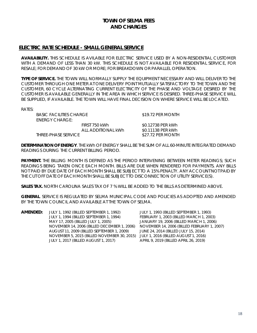#### **ELECTRIC RATE SCHEDULE - SMALL GENERAL SERVICE**

READINGS DURING THE CURRENT BILLING PERIOD.

**AVAILABILITY.** THIS SCHEDULE IS AVILABLE FOR ELECTRIC SERVICE USED BY A NON-RESIDENTIAL CUSTOMER WITH A DEMAND OF LESS THAN 30 kW. THIS SCHEDULE IS NOT AVAILABLE FOR RESIDENTIAL SERVICE, FOR RESALE; FOR DEMAND OF 30 kW OR MORE; FOR BREAKDOWN OR PARALLEL OPERATION.

**TYPE OF SERVICE.** THE TOWN WILL NORMALLY SUPPLY THE EQUIPMENT NECESSARY AND WILL DELIVER TO THE CUSTOMER THROUGH ONE METER AT ONE DELIVERY POINT MUTUALLY SATISFACTORY TO THE TOWN AND THE CUSTOMER, 60 CYCLE ALTERNATING CURRENT ELECTRICITY OF THE PHASE AND VOLTAGE DESIRED BY THE CUSTOMER IS AVAILABLE GENERALLY IN THE AREA IN WHICH SERVICE IS DESIRED. THREE-PHASE SERVICE WILL BE SUPPLIED, IF AVAILABLE. THE TOWN WILL HAVE FINAL DECISION ON WHERE SERVICE WILL BE LOCATED.

RATES:

BASIC FACILITIES CHARGE \$19.72 PER MONTH ENERGY CHARGE: FIRST 750 kWh \$0.12738 PER kWh ALL ADDITIONAL kWh
80.11138 PER kWh THREE-PHASE SERVICE **\$27.72 PER MONTH** 

**DETERMINATION OF ENERGY**. THE kWh OF ENERGY SHALL BE THE SUM OF ALL 60-MINUTE INTEGRATED DEMAND

**PAYMENT.** THE BILLING MONTH IS DEFINED AS THE PERIOD INTERVENING BETWEEN METER READINGS; SUCH READINGS BEING TAKEN ONCE EACH MONTH. BILLS ARE DUE WHEN RENDERED FOR PAYMENTS. ANY BILLS NOT PAID BY DUE DATE OF EACH MONTH SHALL BE SUBJECT TO A 15% PENALTY. ANY ACCOUNT NOT PAID BY THE CUT OFF DATE OF EACH MONTH SHALL BE SUBJECT TO DISCONNECTION OF UTILITY SERVICE(S).

**SALES TAX.** NORTH CAROLINA SALES TAX OF 7 % WILL BE ADDED TO THE BILLS AS DETERMINED ABOVE.

**GENERAL**. SERVICE IS REGULATED BY SELMA MUNICIPAL CODE AND POLICIES AS ADOPTED AND AMENDED BY THE TOWN COUNCIL AND AVAILABLE AT THE TOWN OF SELMA.

| AMENDED: | JULY 1, 1992 (BILLED SEPTEMBER 1, 1992)     | JULY 1, 1993 (BILLED SEPTEMBER 1, 1993)     |
|----------|---------------------------------------------|---------------------------------------------|
|          | JULY 1, 1994 (BILLED SEPTEMBER 1, 1994)     | FEBRUARY 1, 2003 (BILLED MARCH 1, 2003)     |
|          | MAY 17, 2005 (BILLED JULY 1, 2005)          | JANUARY 19, 2006 (BILLED MARCH 1, 2006)     |
|          | NOVEMBER 14, 2006 (BILLED DECEMBER 1, 2006) | NOVEMBER 14, 2006 (BILLED FEBRUARY 1, 2007) |
|          | AUGUST 11, 2009 (BILLED SEPTEMBER 1, 2009)  | JUNE 24, 2014 (BILLED JULY 15, 2014)        |
|          | NOVEMBER 5, 2015 (BILLED NOVEMBER 30, 2015) | JULY 1, 2016 (BILLED AUGUST 1, 2016)        |
|          | JULY 1, 2017 (BILLED AUGUST 1, 2017)        | APRIL 9, 2019 (BILLED APRIL 26, 2019)       |
|          |                                             |                                             |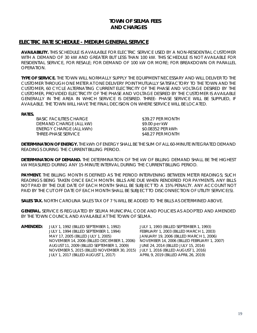#### **ELECTRIC RATE SCHEDULE - MEDIUM GENERAL SERVICE**

**AVAILABILITY.** THIS SCHEDULE IS AVAILABLE FOR ELECTRIC SERVICE USED BY A NON-RESIDENTIAL CUSTOMER WITH A DEMAND OF 30 kW AND GREATER BUT LESS THAN 100 kW. THIS SCHEDULE IS NOT AVAILABLE FOR RESIDENTIAL SERVICE, FOR RESALE; FOR DEMAND OF 100 kW OR MORE; FOR BREAKDOWN OR PARALLEL OPERATION.

**TYPE OF SERVICE.** THE TOWN WILL NORMALLY SUPPLY THE EQUIPMENT NECESSARY AND WILL DELIVER TO THE CUSTOMER THROUGH ONE METER AT ONE DELIVERY POINT MUTUALLY SATISFACTORY TO THE TOWN AND THE CUSTOMER, 60 CYCLE ALTERNATING CURRENT ELECTRICITY OF THE PHASE AND VOLTAGE DESIRED BY THE CUSTOMER, PROVIDED ELECTRICITY OF THE PHASE AND VOLTAGE DESIRED BY THE CUSTOMER IS AVAILABLE GENERALLY IN THE AREA IN WHICH SERVICE IS DESIRED. THREE- PHASE SERVICE WILL BE SUPPLIED, IF AVAILABLE. THE TOWN WILL HAVE THE FINAL DECISION ON WHERE SERVICE WILL BE LOCATED.

#### **RATES.**

BASIC FACILITIES CHARGE<br>DEMAND CHARGE (ALL kW) \$9.00 per kW DEMAND CHARGE (ALL kW) ENERGY CHARGE (ALL kWh) \$0.08352 PER kWh THREE-PHASE SERVICE **\$48.27 PER MONTH** 

**DETERMINATION OF ENERGY.** THE kWh OF ENERGY SHALL BE THE SUM OF ALL 60-MINUTE INTEGRATED DEMAND READINGS DURING THE CURRENT BILLING PERIOD.

**DETERMINATION OF DEMAND.** THE DETERMINATION OF THE kW OF BILLING DEMAND SHALL BE THE HIGHEST kW MEASURED DURING ANY 15-MINUTE INTERVAL DURING THE CURRENT BILLING PERIOD.

**PAYMENT.** THE BILLING MONTH IS DEFINED AS THE PERIOD INTERVENING BETWEEN METER READINGS; SUCH READINGS BEING TAKEN ONCE EACH MONTH. BILLS ARE DUE WHEN RENDERED FOR PAYMENTS. ANY BILLS NOT PAID BY THE DUE DATE OF EACH MONTH SHALL BE SUBJECT TO A 15% PENALTY. ANY ACCOUNT NOT PAID BY THE CUT OFF DATE OF EACH MONTH SHALL BE SUBJECT TO DISCONNECTION OF UTILITY SERVICE(S).

**SALES TAX.** NORTH CAROLINA SALES TAX OF 7 % WILL BE ADDED TO THE BILLS AS DETERMINED ABOVE.

**GENERAL.** SERVICE IS REGULATED BY SELMA MUNICIPAL CODE AND POLICIES AS ADOPTED AND AMENDED BY THE TOWN COUNCIL AND AVAILABLE AT THE TOWN OF SELMA.

**AMENDED:** JULY 1, 1992 (BILLED SEPTEMBER 1, 1992) JULY 1, 1993 (BILLED SEPTEMBER 1, 1993) MAY 17, 2005 (BILLED JULY 1, 2005) JANUARY 19, 2006 (BILLED MARCH 1, 2006) NOVEMBER 14, 2006 (BILLED DECEMBER 1, 2006) NOVEMBER 14, 2006 (BILLED FEBRUARY 1, 2007) AUGUST 11, 2009 (BILLED SEPTEMBER 1, 2009) JUNE 24, 2014 (BILLED JULY 15, 2014) NOVEMBER 5, 2015 (BILLED NOVEMBER 30, 2015) JULY 1, 2016 (BILLED AUGUST 1, 2016) JULY 1, 2017 (BILLED AUGUST 1, 2017) APRIL 9, 2019 (BILLED APRIL 26, 2019)

FEBRUARY 1, 2003 (BILLED MARCH 1, 2003)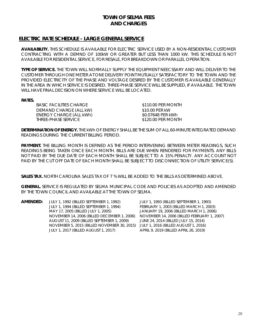#### **ELECTRIC RATE SCHEDULE - LARGE GENERAL SERVICE**

**AVAILABILITY.** THIS SCHEDULE IS AVAILABLE FOR ELECTRIC SERVICE USED BY A NON-RESIDENTIAL CUSTOMER CONTRACTING WITH A DEMND OF 100kW OR GREATER BUT LESS THAN 1000 kW. THIS SCHEDULE IS NOT AVAILABLE FOR RESIDENTIAL SERVICE, FOR RESALE, FOR BREAKDOWN OR PARALLEL OPERATION.

**TYPE OF SERVICE.** THE TOWN WILL NORMALLY SUPPLY THE EQUIPMENT NEECSSARY AND WILL DELIVER TO THE CUSTOMER THROUGH ONE METER AT ONE DELIVERY POINT MUTUALLY SATISFACTORY TO THE TOWN AND THE PROVIDED ELECTRICITY OF THE PHASE AND VOLTAGE DESIRED BY THE CUSTOMER IS AVAILABLE GENERALLY IN THE AREA IN WHICH SERVICE IS DESIRED. THREE-PHASE SERVICE WILL BE SUPPLIED, IF AVAILABLE. THE TOWN WILL HAVE FINAL DECISION ON WHERE SERVICE WILL BE LOCATED.

**RATES.**

BASIC FACILITIES CHARGE  $$310.00$  PER MONTH DEMAND CHARGE (ALL kW) \$10.00 PER kW<br>ENERGY CHARGE (ALL kWh) \$0.07648 PER kWh ENERGY CHARGE (ALL kWh)  $$0.07648$  PER kWh<br>THREE-PHASE SERVICE  $$120.00$  PER MONTH THREE-PHASE SERVICE

**DETERMINATION OF ENERGY.** THE kWh OF ENERGY SHALL BE THE SUM OF ALL 60-MINUTE INTEGRATED DEMAND READINGS DURING THE CURRENT BILLING PERIOD.

**PAYMENT.** THE BILLING MONTH IS DEFINED AS THE PERIOD INTERVENING BETWEEN METER READINGS, SUCH READINGS BEING TAKEN ONCE EACH MONTH. BILLS ARE DUE WHEN RENDERED FOR PAYMENTS. ANY BILLS NOT PAID BY THE DUE DATE OF EACH MONTH SHALL BE SUBJECT TO A 15% PENALTY. ANY ACCOUNT NOT PAID BY THE CUT OFF DATE OF EACH MONTH SHALL BE SUBJECT TO DISCONNECTION OF UTILITY SERVICE(S).

**SALES TAX.** NORTH CAROLINA SALES TAX OF 7 % WILL BE ADDED TO THE BILLS AS DETERMINED ABOVE.

**GENERAL.** SERVICE IS REGULATED BY SELMA MUNICIPAL CODE AND POLICIES AS ADOPTED AND AMENDED BY THE TOWN COUNCIL AND AVAILABLE AT THE TOWN OF SELMA.

| JULY 1, 1992 (BILLED SEPTEMBER 1, 1992)     | JULY 1, 1993 (BILLED SEPTEMBER 1, 1993)     |
|---------------------------------------------|---------------------------------------------|
| JULY 1, 1994 (BILLED SEPTEMBER 1, 1994)     | FEBRUARY 1, 2003 (BILLED MARCH 1, 2003)     |
| MAY 17, 2005 (BILLED JULY 1, 2005)          | JANUARY 19, 2006 (BILLED MARCH 1, 2006)     |
| NOVEMBER 14, 2006 (BILLED DECEMBER 1, 2006) | NOVEMBER 14, 2006 (BILLED FEBRUARY 1, 2007) |
|                                             | JUNE 24, 2014 (BILLED JULY 15, 2014)        |
| NOVEMBER 5, 2015 (BILLED NOVEMBER 30, 2015) | JULY 1, 2016 (BILLED AUGUST 1, 2016)        |
| JULY 1, 2017 (BILLED AUGUST 1, 2017)        | APRIL 9, 2019 (BILLED APRIL 26, 2019)       |
|                                             | AUGUST 11, 2009 (BILLED SEPTEMBER 1, 2009)  |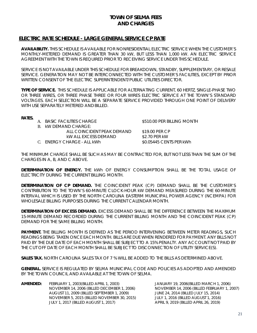#### **ELECTRIC RATE SCHEDULE - LARGE GENERAL SERVICE CP RATE**

**AVAILABILITY.** THIS SCHEDULE IS AVAILABLE FOR NONRESIDENTIAL ELECTRIC SERVICE WHEN THE CUSTOMER'S MONTHLY-METERED DEMAND IS GREATER THAN 30 kW, BUT LESS THAN 1,000 kW. AN ELECTRIC SERVICE AGREEMENT WITH THE TOWN IS REQUIRED PRIOR TO RECEIVING SERVICE UNDER THIS SCHEDULE.

SERVICE IS NOT AVAILABLE UNDER THIS SCHEDULE FOR BREAKDOWN, STANDBY, SUPPLEMENTARY, OR RESALE SERVICE. GENERATION MAY NOT BE INTERCONNECTED WITH THE CUSTOMER'S FACILITIES, EXCEPT BY PRIOR WRITTEN CONSENT OF THE ELECTRIC SUPERINTENDENT/PUBLIC UTILITIES DIRECTOR.

**TYPE OF SERVICE.** THIS SCHEDULE IS APPLICABLE FOR ALTERNATING CURRENT, 60 HERTZ, SINGLE-PHASE TWO OR THREE WIRES, OR THREE PHASE THREE OR FOUR WIRES ELECTRIC SERVICE AT THE TOWN'S STANDARD VOLTAGES. EACH SELECTION WILL BE A SEPARATE SERVICE PROVIDED THROUGH ONE POINT OF DELIVERY WITH USE SEPARATELY METERED AND BILLED.

#### **RATES.**

|  | A. BASIC FACILITIES CHARGE |
|--|----------------------------|
|  |                            |

\$510.00 PER BILLING MONTH

B. kW DEMAND CHARGE:

ALL COINCIDENT PEAK DEMAND \$19.00 PER CP kW ALL EXCESS DEMAND \$2.70 PER kW C. ENERGY CHARGE - ALL kWh  $$0.05445$  CENTS PER kWh

THE MINIMUM CHARGE SHALL BE SUCH AS MAY BE CONTRACTED FOR, BUT NOT LESS THAN THE SUM OF THE CHARGES IN A, B, AND C ABOVE.

**DETERMINATION OF ENERGY.** THE kWh OF ENERGY CONSUMPTION SHALL BE THE TOTAL USAGE OF ELECTRICITY DURING THE CURRENT BILLING MONTH.

**DETERMINATION OF CP DEMAND.** THE COINCIDENT PEAK (CP) DEMAND SHALL BE THE CUSTOMER'S CONTRIBUTION TO THE TOWN'S 60-MINUTE CLOCK-HOUR kW DEMAND MEASURED DURING THE 60-MINUTE INTERVAL WHICH IS USED BY THE NORTH CAROLINA EASTERM MUNICIPAL POWER AGENCY (NCEMPA) FOR WHOLESALE BILLING PURPOSES DURING THE CURRENT CALENDAR MONTH.

**DETERMINATION OF EXCESS DEMAND.** EXCESS DEMAND SHALL BE THE DIFFERENCE BETWEEN THE MAXIMUM 15-MINUTE DEMAND RECORDED DURING THE CURRENT BILLING MONTH AND THE COINCIDENT PEAK (CP) DEMAND FOR THE SAME BILLING MONTH.

**PAYMENT.** THE BILLING MONTH IS DEFINED AS THE PERIOD INTERVENING BETWEEN METER READINGS, SUCH READINGS BEING TAKEN ONCE EACH MONTH. BILLS ARE DUE WHEN RENDERED FOR PAYMENT. ANY BILLS NOT PAID BY THE DUE DATE OF EACH MONTH SHALL BE SUBJECT TO A 15% PENALTY. ANY ACCOUNT NOT PAID BY THE CUT OFF DATE OF EACH MONTH SHALL BE SUBJECT TO DISCONNECTION OF UTILITY SERVICE(S).

**SALES TAX.** NORTH CAROLINA SALES TAX OF 7 % WILL BE ADDED TO THE BILLS AS DETERMINED ABOVE.

**GENERAL.** SERVICE IS REGULATED BY SELMA MUNICIPAL CODE AND POLICIES AS ADOPTED AND AMENDED BY THE TOWN COUNCIL AND AVAILABLE AT THE TOWN OF SELMA.

**AMENDED:** FEBRUARY 1, 2003(BILLED APRIL 1, 2003) JANUARY 19, 2006(BILLED MARCH 1, 2006) NOVEMBER 14, 2006 (BILLED DECEMBER 1, 2006) NOVEMBER 14, 2006 (BILLED FEBRUARY 1, 2007) AUGUST 11, 2009 (BILLED SEPTEMBER 1, 2009) JUNE 24, 2014 (BILLED JULY 15, 2014) NOVEMBER 5, 2015 (BILLED NOVEMBER 30, 2015) JULY 1, 2016 (BILLED AUGUST 1, 2016) JULY 1, 2017 (BILLED AUGUST 1, 2017)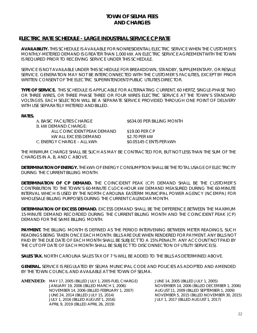#### **ELECTRIC RATE SCHEDULE - LARGE INDUSTRIAL SERVICE CP RATE**

**AVAILABILITY.** THIS SCHEDULE IS AVAILABLE FOR NONRESIDENTIAL ELECTRIC SERVICE WHEN THE CUSTOMER'S MONTHLY-METERED DEMAND IS GREATER THAN 1,000 kW. AN ELECTRIC SERVICE AGREEMENT WITH THE TOWN IS REQUIRED PRIOR TO RECEIVING SERVICE UNDER THIS SCHEDULE.

SERVICE IS NOT AVAILABLE UNDER THIS SCHEDULE FOR BREAKDOWN, STANDBY, SUPPLEMENTARY, OR RESALE SERVICE. GENERATION MAY NOT BE INTERCONNECTED WITH THE CUSTOMER'S FACILITIES, EXCEPT BY PRIOR WRITTEN CONSENT OF THE ELECTRIC SUPERINTENDENT/PUBLIC UTILITIES DIRECTOR.

**TYPE OF SERVICE.** THIS SCHEDULE IS APPLICABLE FOR ALTERNATING CURRENT, 60 HERTZ, SINGLE-PHASE TWO OR THREE WIRES, OR THREE PHASE THREE OR FOUR WIRES ELECTRIC SERVICE AT THE TOWN'S STANDARD VOLTAGES. EACH SELECTION WILL BE A SEPARATE SERVICE PROVIDED THROUGH ONE POINT OF DELIVERY WITH USE SEPARATELY METERED AND BILLED.

#### **RATES.**

| A. BASIC FACILITIES CHARGE<br>B. KW DEMAND CHARGE: | \$634.00 PER BILLING MONTH |
|----------------------------------------------------|----------------------------|
|                                                    |                            |
| ALL COINCIDENT PEAK DEMAND.                        | \$19.00 PER CP             |
| KW ALL EXCESS DEMAND                               | \$2.70 PER kW              |
| C. ENERGY CHARGE – ALL kWh                         | \$0.05145 CENTS PER kWh    |

THE MINIMUM CHARGE SHALL BE SUCH AS MAY BE CONTRACTED FOR, BUT NOT LESS THAN THE SUM OF THE CHARGES IN A, B, AND C ABOVE.

**DETERMINATION OF ENERGY.** THE kWh OF ENERGY CONSUMPTION SHALL BE THE TOTAL USAGE OF ELECTRICITY DURING THE CURRENT BILLING MONTH.

**DETERMINATION OF CP DEMAND.** THE COINCIDENT PEAK (CP) DEMAND SHALL BE THE CUSTOMER'S CONTRIBUTION TO THE TOWN'S 60-MINUTE CLOCK-HOUR kW DEMAND MEASURED DURING THE 60-MINUTE INTERVAL WHICH IS USED BY THE NORTH CAROLINA EASTERM MUNICIPAL POWER AGENCY (NCEMPA) FOR WHOLESALE BILLING PURPOSES DURING THE CURRENT CALENDAR MONTH.

**DETERMINATION OF EXCESS DEMAND.** EXCESS DEMAND SHALL BE THE DIFFERENCE BETWEEN THE MAXIMUM 15-MINUTE DEMAND RECORDED DURING THE CURRENT BILLING MONTH AND THE COINCIDENT PEAK (CP) DEMAND FOR THE SAME BILLING MONTH.

**PAYMENT.** THE BILLING MONTH IS DEFINED AS THE PERIOD INTERVENING BETWEEN METER READINGS, SUCH READINGS BEING TAKEN ONCE EACH MONTH. BILLS ARE DUE WHEN RENDERED FOR PAYMENT. ANY BILLS NOT PAID BY THE DUE DATE OF EACH MONTH SHALL BE SUBJECT TO A 15% PENALTY. ANY ACCOUNT NOT PAID BY THE CUT OFF DATE OF EACH MONTH SHALL BE SUBJECT TO DISCONNECTION OF UTILITY SERVICE(S).

**SALES TAX.** NORTH CAROLINA SALES TAX OF 7 % WILL BE ADDED TO THE BILLS AS DETERMINED ABOVE.

**GENERAL.** SERVICE IS REGULATED BY SELMA MUNICIPAL CODE AND POLICIES AS ADOPTED AND AMENDED BY THE TOWN COUNCIL AND AVAILABLE AT THE TOWN OF SELMA.

**AMENDED:** MAY 17, 2005 (BILLED JULY 1, 2005-FUEL CHARGE) JUNE 14, 2005 (BILLED JULY 1, 2005) NOVEMBER 14, 2006 (BILLED FEBRUARY 1, 2007) JUNE 24, 2014 (BILLED JULY 15, 2014) NOVEMBER 5, 2015 (BILLED NOVEMBER 30, 2015) JULY 1, 2016 (BILLED AUGUST 1, 2016) JULY 1, 2017 (BILLED AUGUST 1, 2017) APRIL 9, 2019 (BILLED APRIL 26, 2019)

NOVEMBER 14, 2006 (BILLED DECEMBER 1, 2006)<br>AUGUST 11, 2009 (BILLED SEPTEMBER 1, 2009)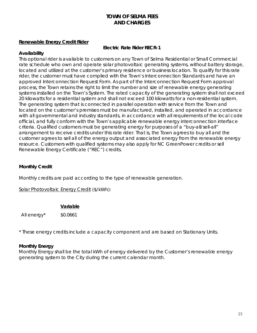#### **Renewable Energy Credit Rider**

#### **Electric Rate Rider RECR-1**

#### **Availability**

This optional rider is available to customers on any Town of Selma Residential or Small Commercial rate schedule who own and operate solar photovoltaic generating systems, without battery storage, located and utilized at the customer's primary residence or business location. To qualify for this rate rider, the customer must have complied with the Town's Interconnection Standards and have an approved Interconnection Request Form. As part of the Interconnection Request Form approval process, the Town retains the right to limit the number and size of renewable energy generating systems installed on the Town's System. The rated capacity of the generating system shall not exceed 20 kilowatts for a residential system and shall not exceed 100 kilowatts for a non-residential system. The generating system that is connected in parallel operation with service from the Town and located on the customer's premises must be manufactured, installed, and operated in accordance with all governmental and industry standards, in accordance with all requirements of the local code official, and fully conform with the Town's applicable renewable energy interconnection interface criteria. Qualified customers must be generating energy for purposes of a "buy-all/sell-all" arrangement to receive credits under this rate rider. That is, the Town agrees to buy all and the customer agrees to sell all of the energy output and associated energy from the renewable energy resource. Customers with qualified systems may also apply for NC GreenPower credits or sell Renewable Energy Certificate ("REC") credits.

#### **Monthly Credit**

Monthly credits are paid according to the type of renewable generation.

Solar Photovoltaic Energy Credit (\$/kWh):

#### **Variable**

All energy $*$   $$0.0661$ 

\* These energy credits include a capacity component and are based on Stationary Units.

#### **Monthly Energy**

Monthly Energy shall be the total kWh of energy delivered by the Customer's renewable energy generating system to the City during the current calendar month.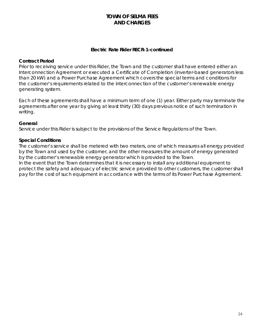#### **Electric Rate Rider RECR-1-***continued*

#### **Contract Period**

Prior to receiving service under this Rider, the Town and the customer shall have entered either an Interconnection Agreement or executed a Certificate of Completion (inverter-based generators less than 20 kW) and a Power Purchase Agreement which covers the special terms and conditions for the customer's requirements related to the interconnection of the customer's renewable energy generating system.

Each of these agreements shall have a minimum term of one (1) year. Either party may terminate the agreements after one year by giving at least thirty (30) days previous notice of such termination in writing.

#### **General**

Service under this Rider is subject to the provisions of the Service Regulations of the Town.

#### **Special Conditions**

The customer's service shall be metered with two meters, one of which measures all energy provided by the Town and used by the customer, and the other measures the amount of energy generated by the customer's renewable energy generator which is provided to the Town.

In the event that the Town determines that it is necessary to install any additional equipment to protect the safety and adequacy of electric service provided to other customers, the customer shall pay for the cost of such equipment in accordance with the terms of its Power Purchase Agreement.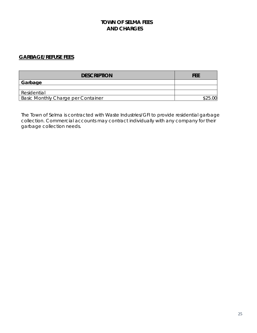## <span id="page-27-0"></span>**GARBAGE/REFUSE FEES**

| <b>DESCRIPTION</b>                 | FEE       |
|------------------------------------|-----------|
| Garbage                            |           |
|                                    |           |
| Residential                        |           |
| Basic Monthly Charge per Container | \$25<br>ന |

The Town of Selma is contracted with Waste Industries/GFI to provide residential garbage collection. Commercial accounts may contract individually with any company for their garbage collection needs.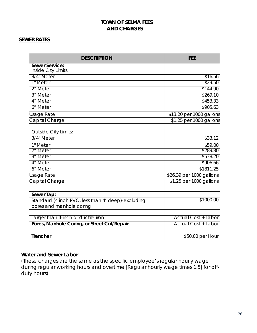## <span id="page-28-0"></span>**SEWER RATES**

| <b>DESCRIPTION</b>                                 | <b>FEE</b>                 |
|----------------------------------------------------|----------------------------|
| <b>Sewer Service:</b>                              |                            |
| Inside City Limits:                                |                            |
| 3/4" Meter                                         | \$16.56                    |
| 1" Meter                                           | \$29.50                    |
| 2" Meter                                           | \$144.90                   |
| 3" Meter                                           | \$269.10                   |
| 4" Meter                                           | \$453.33                   |
| 6" Meter                                           | \$905.63                   |
| Usage Rate                                         | \$13.20 per 1000 gallons   |
| Capital Charge                                     | \$1.25 per 1000 gallons    |
| <b>Outside City Limits:</b>                        |                            |
| 3/4" Meter                                         | \$33.12                    |
| 1" Meter                                           | \$59.00                    |
| 2" Meter                                           | \$289.80                   |
| 3" Meter                                           | \$538.20                   |
| 4" Meter                                           | \$906.66                   |
| 6" Meter                                           | \$1811.25                  |
| Usage Rate                                         | \$26.39 per 1000 gallons   |
| Capital Charge                                     | \$1.25 per 1000 gallons    |
| Sewer Tap:                                         |                            |
| Standard (4 inch PVC, less than 4' deep)-excluding | \$1000.00                  |
| bores and manhole coring                           |                            |
|                                                    |                            |
| Larger than 4-inch or ductile iron                 | <b>Actual Cost + Labor</b> |
| Bores, Manhole Coring, or Street Cut/Repair        | <b>Actual Cost + Labor</b> |
| Trencher                                           | \$50.00 per Hour           |

## **Water and Sewer Labor**

(These charges are the same as the specific employee's regular hourly wage during regular working hours and overtime [Regular hourly wage times 1.5] for offduty hours)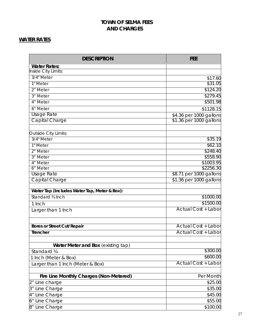## <span id="page-29-0"></span>**WATER RATES**

| <b>DESCRIPTION</b>                           | FEE                        |
|----------------------------------------------|----------------------------|
| <b>Water Rates:</b>                          |                            |
| Inside City Limits:                          |                            |
| 3/4" Meter                                   | \$17.60                    |
| 1" Meter                                     | \$31.05                    |
| 2" Meter                                     | \$124.20                   |
| 3" Meter                                     | \$279.45                   |
| 4" Meter                                     | \$501.98                   |
| 6" Meter                                     | \$1128.15                  |
| <b>Usage Rate</b>                            | \$4.36 per 1000 gallons    |
| Capital Charge                               | \$1.36 per 1000 gallons    |
| Outside City Limits:                         |                            |
| 3/4" Meter                                   | \$35.19                    |
| 1" Meter                                     | \$62.10                    |
| 2" Meter                                     | \$248.40                   |
| 3" Meter                                     | \$558.90                   |
| 4" Meter                                     | \$1003.95                  |
| 6" Meter                                     | \$2256.30                  |
| <b>Usage Rate</b>                            | \$8.71 per 1000 gallons    |
| Capital Charge                               | \$1.36 per 1000 gallons    |
| Water Tap (Includes Water Tap, Meter & Box): |                            |
| Standard 3/4 Inch                            | \$1000.00                  |
| 1 Inch                                       | \$1500.00                  |
| Larger than 1 Inch                           | <b>Actual Cost + Labor</b> |
| <b>Bores or Street Cut/Repair</b>            | <b>Actual Cost + Labor</b> |
| <b>Trencher</b>                              | <b>Actual Cost + Labor</b> |
|                                              |                            |
| Water Meter and Box (existing tap)           |                            |
| Standard 3/4                                 | \$300.00                   |
| 1 Inch (Meter & Box)                         | \$600.00                   |
| Larger than 1 Inch (Meter & Box)             | <b>Actual Cost + Labor</b> |
| Fire Line Monthly Charges (Non-Metered)      | Per Month                  |
| 2" Line charge                               | \$25.00                    |
| 3" Line Charge                               | \$35.00                    |
| 4" Line Charge                               | \$45.00                    |
| 6" Line Charge                               | \$55.00                    |
| 8" Line Charge                               | \$100.00                   |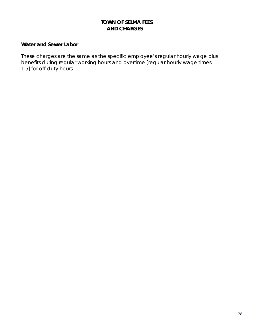#### **Water and Sewer Labor**

These charges are the same as the specific employee's regular hourly wage plus benefits during regular working hours and overtime [regular hourly wage times 1.5] for off-duty hours.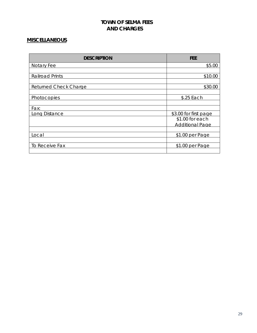## <span id="page-31-0"></span>**MISCELLANEOUS**

| <b>DESCRIPTION</b>           | FEE                    |
|------------------------------|------------------------|
| Notary Fee                   | \$5.00                 |
|                              |                        |
| <b>Railroad Prints</b>       | \$10.00                |
|                              |                        |
| <b>Returned Check Charge</b> | \$30.00                |
|                              |                        |
| Photocopies                  | \$.25 Each             |
|                              |                        |
| Fax:                         |                        |
| Long Distance                | \$3.00 for first page  |
|                              | \$1.00 for each        |
|                              | <b>Additional Page</b> |
|                              |                        |
| Local                        | \$1.00 per Page        |
|                              |                        |
| To Receive Fax               | \$1.00 per Page        |
|                              |                        |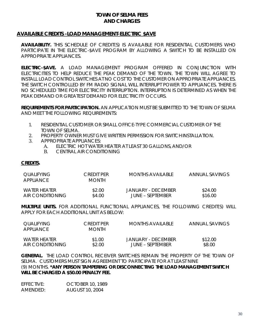#### **AVAILABLE CREDITS -LOAD MANAGEMENT-ELECTRIC \$AVE**

**AVAILABILITY.** THIS SCHEDULE OF CREDIT(S) IS AVAILABLE FOR RESIDENTIAL CUSTOMERS WHO PARTICIPATE IN THE ELECTRIC-\$AVE PROGRAM BY ALLOWING A SWITCH TO BE INSTALLED ON APPROPRIATE APPLIANCES.

**ELECTRIC-\$AVE.** A LOAD MANAGEMENT PROGRAM OFFERED IN CONJUNCTION WITH ELECTRICITIES TO HELP REDUCE THE PEAK DEMAND OF THE TOWN. THE TOWN WILL AGREE TO INSTALL LOAD CONTROL SWITCHES AT NO COST TO THE CUSTOMER ON APPROPRIATE APPLIANCES. THE SWITCH CONTROLLED BY FM RADIO SIGNAL WILL INTERRUPT POWER TO APPLIANCES. THERE IS NO SCHEDULED TIME FOR ELECTRICITY INTERRUPTION. INTERRUPTION IS DETERMINED AS WHEN THE PEAK DEMAND OR GREATEST DEMAND FOR ELECTRICITY OCCURS.

**REQUIREMENTS FOR PARTICIPATION.** AN APPLICATION MUST BE SUBMITTED TO THE TOWN OF SELMA AND MEET THE FOLLOWING REQUIREMENTS:

- 1. RESIDENTIAL CUSTOMER OR SMALL OFFICE-TYPE COMMERCIAL CUSTOMER OF THE TOWN OF SELMA.
- 2. PROPERTY OWNER MUST GIVE WRITTEN PERMISSION FOR SWITCHINSTALLATION.
- 3. APPROPRIATE APPLIANCES:
	- A. ELECTRIC HOT WATER HEATER AT LEAST 30 GALLONS, AND/OR<br>B. CENTRAL AIR CONDITIONING
	- CENTRAL AIR CONDITIONING

#### **CREDITS.**

| <b>OUALIFYING</b><br>APPHANCE | CREDIT PER<br><b>MONTH</b> | MONTHS AVAILABLE   | ANNUAL SAVINGS |
|-------------------------------|----------------------------|--------------------|----------------|
| WATER HEATER                  | \$2.00                     | JANUARY - DECEMBER | \$24.00        |
| AIR CONDITIONING              | \$4.00                     | JUNE – SEPTEMBER   | \$16.00        |

**MULTIPLE UNITS.** FOR ADDITIONAL FUNCTIONAL APPLIANCES, THE FOLLOWING CREDIT(S) WILL APPLY FOR EACH ADDITIONAL UNIT AS BELOW:

| OUALIFYING<br>APPHANCE | CREDIT PER<br>MONTH | MONTHS AVAILABLE   | ANNUAL SAVINGS |
|------------------------|---------------------|--------------------|----------------|
| WATER HEATER           | \$1.00              | JANUARY - DECEMBER | \$12.00        |
| AIR CONDITIONING       | \$2.00              | JUNE – SEPTEMBER   | \$8.00         |

**GENERAL.** THE LOAD CONTROL RECEIVER SWITCHES REMAIN THE PROPERTY OF THE TOWN OF SELMA. CUSTOMERS MUST SIGN AGREEMENT TO PARTICIPATE FOR AT LEAST NINE (9) MONTHS. **\*ANY PERSON TAMPERING OR DISCONNECTING THE LOAD MANAGEMENT SWITCH WILL BE CHARGED A \$50.00 PENALTY FEE.**

| EFFECTIVE: | <b>OCTOBER 10, 1989</b> |
|------------|-------------------------|
| AMENDED:   | <b>AUGUST 10, 2004</b>  |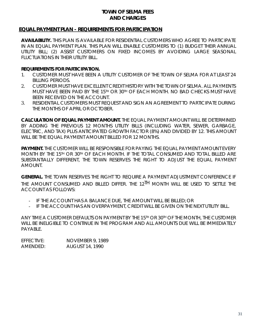## <span id="page-33-0"></span>**EQUAL PAYMENT PLAN - REQUIREMENTS FOR PARTICIPATION**

**AVAILABILITY.** THIS PLAN IS AVAILABLE FOR RESIDENTIAL CUSTOMERS WHO AGREE TO PARTICIPATE IN AN EQUAL PAYMENT PLAN. THIS PLAN WILL ENABLE CUSTOMERS TO (1) BUDGET THEIR ANNUAL UTILITY BILL; (2) ASSIST CUSTOMERS ON FIXED INCOMES BY AVOIDING LARGE SEASONAL FLUCTUATIONS IN THEIR UTILITY BILL.

#### **REQUIREMENTS FOR PARTICIPATION.**

- 1. CUSTOMER MUST HAVE BEEN A UTILITY CUSTOMER OF THE TOWN OF SELMA FOR AT LEAST 24 BILLING PERIODS.
- 2. CUSTOMER MUST HAVE EXCELLENT CREDIT HISTORY WITH THE TOWN OF SELMA. ALL PAYMENTS MUST HAVE BEEN PAID BY THE 15TH OR 30TH OF EACH MONTH. NO BAD CHECKS MUST HAVE BEEN RECEIVED ON THE ACCOUNT.
- 3. RESIDENTIAL CUSTOMERS MUST REQUEST AND SIGN AN AGREEMENT TO PARTICIPATE DURING THE MONTHS OF APRIL OR OCTOBER.

**CALCULATION OF EQUAL PAYMENT AMOUNT.** THE EQUAL PAYMENT AMOUNT WILL BE DETERMINED BY ADDING THE PREVIOUS 12 MONTHS UTILITY BILLS (INCLUDING WATER, SEWER, GARBAGE, ELECTRIC, AND TAX) PLUS ANTICIPATED GROWTH FACTOR (8%) AND DIVIDED BY 12. THIS AMOUNT WILL BE THE EQUAL PAYMENT AMOUNT BILLED FOR 12 MONTHS.

**PAYMENT.** THE CUSTOMER WILL BE RESPONSIBLE FOR PAYING THE EQUAL PAYMENT AMOUNT EVERY MONTH BY THE 15TH OR 30TH OF EACH MONTH. IF THE TOTAL CONSUMED AND TOTAL BILLED ARE SUBSTANTIALLY DIFFERENT, THE TOWN RESERVES THE RIGHT TO ADJUST THE EQUAL PAYMENT AMOUNT.

**GENERAL.** THE TOWN RESERVES THE RIGHT TO REQUIRE A PAYMENT ADJUSTMENT CONFERENCE IF THE AMOUNT CONSUMED AND BILLED DIFFER. THE 12<sup>TH</sup> MONTH WILL BE USED TO SETTLE THE ACCOUNT AS FOLLOWS:

- IF THE ACCOUNT HAS A BALANCE DUE, THE AMOUNT WILL BE BILLED; OR
- IF THE ACCOUNT HAS AN OVERPAYMENT, CREDIT WILL BE GIVEN ON THE NEXT UTILITY BILL.

ANY TIME A CUSTOMER DEFAULTS ON PAYMENT BY THE 15TH OR 30TH OF THE MONTH, THE CUSTOMER WILL BE INELIGIBLE TO CONTINUE IN THE PROGRAM AND ALL AMOUNTS DUE WILL BE IMMEDIATELY PAYABLE.

EFFECTIVE: NOVEMBER 9, 1989 AMENDED: AUGUST 14, 1990